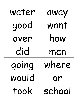| water | away   |
|-------|--------|
| good  | want   |
| over  | how    |
| did   | man    |
| going | where  |
| would | or     |
| took  | school |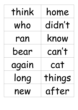| think | home   |
|-------|--------|
| who   | didn't |
| ran   | know   |
| bear  | can't  |
| again | CQT    |
| long  | things |
| new   | after  |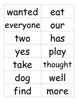| wanted     | eat     |
|------------|---------|
| everyone   | our     |
| two        | has     |
| <b>YES</b> | play    |
| TAKE       | Thought |
| dog        | well    |
| find       | more    |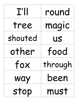| $T^{\prime}$ ll | round   |
|-----------------|---------|
| tree            | magic   |
| shouted         | US      |
| other           | food    |
| TOX             | Through |
| way             | been    |
| stop            | must    |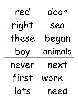| red   | door    |
|-------|---------|
| right | sea     |
| these | began   |
| boy   | animals |
| never | next    |
| first | work    |
| lots  | need    |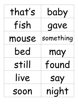| that's       | baby       |
|--------------|------------|
| fish         | gave       |
| mouse        | something  |
| bed          | may        |
| <b>STIII</b> | TOUNQ      |
| live         | <b>SAY</b> |
| Soon         | night      |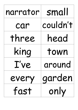| narrator | small    |
|----------|----------|
| car      | couldn't |
| three    | head     |
| king     | town     |
| L'Ve     | around   |
| every    | garden   |
| fast     | only     |

 $\overline{1}$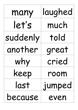| many     | laughed |
|----------|---------|
| let's    | much    |
| suddenly | told    |
| another  | great   |
| why      | ried    |
| keep     | room    |
| last     | jumped  |
| because  | even    |

٦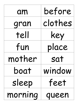| am      | before  |
|---------|---------|
| gran    | clothes |
| tell    | key     |
| fun     | place   |
| mother  | sat     |
| boat    | window  |
| sleep   | feet    |
| morning | queen   |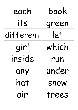| each      | book  |
|-----------|-------|
| its       | green |
| different | let   |
| girl      | which |
| inside    | run   |
| any       | under |
| hat       | SNOW  |
| air       | trees |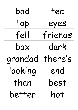| bad               | tea     |
|-------------------|---------|
| top               | eyes    |
| fell              | friends |
| box               | dark    |
| grandad   there's |         |
| looking           | end     |
| than              | best    |
| better            | hot     |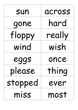| sun     | across |
|---------|--------|
| gone    | hard   |
| floppy  | really |
| wind    | wish   |
| eaas    | once   |
| please  | thing  |
| stopped | ever   |
| miss    | most   |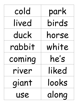| cold       | park  |
|------------|-------|
| lived      | birds |
| duck       | horse |
| rabbit     | white |
| coming     | he's  |
| river      | liked |
| giant      | looks |
| <b>USE</b> | along |